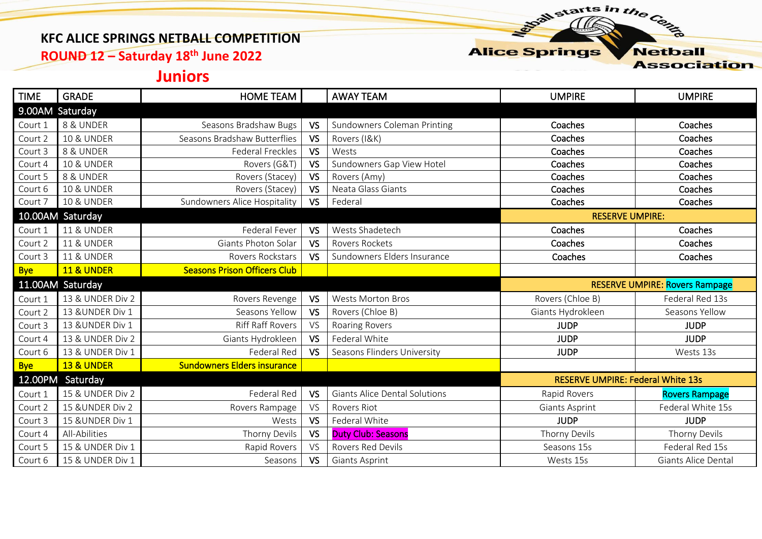## **KFC ALICE SPRINGS NETBALL COMPETITION**

**ROUND 12 – Saturday 18th June 2022**

## **Alice Springs**

starts in the Centre

**Netball Association** 

## **Juniors**

| <b>TIME</b>      | <b>GRADE</b>          | <b>HOME TEAM</b>                    |           | <b>AWAY TEAM</b>                     | <b>UMPIRE</b>                            | <b>UMPIRE</b>                         |  |
|------------------|-----------------------|-------------------------------------|-----------|--------------------------------------|------------------------------------------|---------------------------------------|--|
|                  | 9.00AM Saturday       |                                     |           |                                      |                                          |                                       |  |
| Court 1          | 8 & UNDER             | Seasons Bradshaw Bugs               | <b>VS</b> | Sundowners Coleman Printing          | Coaches                                  | Coaches                               |  |
| Court 2          | <b>10 &amp; UNDER</b> | Seasons Bradshaw Butterflies        | <b>VS</b> | Rovers (I&K)                         | Coaches                                  | Coaches                               |  |
| Court 3          | 8 & UNDER             | Federal Freckles                    | <b>VS</b> | Wests                                | Coaches                                  | Coaches                               |  |
| Court 4          | <b>10 &amp; UNDER</b> | Rovers (G&T)                        | <b>VS</b> | Sundowners Gap View Hotel            | Coaches                                  | Coaches                               |  |
| Court 5          | 8 & UNDER             | Rovers (Stacey)                     | <b>VS</b> | Rovers (Amy)                         | Coaches                                  | Coaches                               |  |
| Court 6          | <b>10 &amp; UNDER</b> | Rovers (Stacey)                     | <b>VS</b> | Neata Glass Giants                   | Coaches                                  | Coaches                               |  |
| Court 7          | <b>10 &amp; UNDER</b> | Sundowners Alice Hospitality        | <b>VS</b> | Federal                              | Coaches                                  | Coaches                               |  |
|                  | 10.00AM Saturday      |                                     |           |                                      | <b>RESERVE UMPIRE:</b>                   |                                       |  |
| Court 1          | <b>11 &amp; UNDER</b> | Federal Fever                       | <b>VS</b> | Wests Shadetech                      | Coaches                                  | Coaches                               |  |
| Court 2          | <b>11 &amp; UNDER</b> | Giants Photon Solar                 | <b>VS</b> | Rovers Rockets                       | Coaches                                  | Coaches                               |  |
| Court 3          | <b>11 &amp; UNDER</b> | Rovers Rockstars                    | <b>VS</b> | Sundowners Elders Insurance          | Coaches                                  | Coaches                               |  |
| <b>Bye</b>       | <b>11 &amp; UNDER</b> | <b>Seasons Prison Officers Club</b> |           |                                      |                                          |                                       |  |
| 11.00AM Saturday |                       |                                     |           |                                      |                                          |                                       |  |
|                  |                       |                                     |           |                                      |                                          | <b>RESERVE UMPIRE: Rovers Rampage</b> |  |
| Court 1          | 13 & UNDER Div 2      | Rovers Revenge                      | <b>VS</b> | <b>Wests Morton Bros</b>             | Rovers (Chloe B)                         | Federal Red 13s                       |  |
| Court 2          | 13 & UNDER Div 1      | Seasons Yellow                      | <b>VS</b> | Rovers (Chloe B)                     | Giants Hydrokleen                        | Seasons Yellow                        |  |
| Court 3          | 13 & UNDER Div 1      | <b>Riff Raff Rovers</b>             | <b>VS</b> | <b>Roaring Rovers</b>                | <b>JUDP</b>                              | <b>JUDP</b>                           |  |
| Court 4          | 13 & UNDER Div 2      | Giants Hydrokleen                   | <b>VS</b> | Federal White                        | <b>JUDP</b>                              | <b>JUDP</b>                           |  |
| Court 6          | 13 & UNDER Div 1      | Federal Red                         | <b>VS</b> | Seasons Flinders University          | <b>JUDP</b>                              | Wests 13s                             |  |
| <b>Bye</b>       | <b>13 &amp; UNDER</b> | <b>Sundowners Elders insurance</b>  |           |                                      |                                          |                                       |  |
| 12.00PM          | Saturday              |                                     |           |                                      | <b>RESERVE UMPIRE: Federal White 13s</b> |                                       |  |
| Court 1          | 15 & UNDER Div 2      | Federal Red                         | <b>VS</b> | <b>Giants Alice Dental Solutions</b> | Rapid Rovers                             | <b>Rovers Rampage</b>                 |  |
| Court 2          | 15 & UNDER Div 2      | Rovers Rampage                      | <b>VS</b> | <b>Rovers Riot</b>                   | Giants Asprint                           | Federal White 15s                     |  |
| Court 3          | 15 & UNDER Div 1      | Wests                               | <b>VS</b> | Federal White                        | <b>JUDP</b>                              | <b>JUDP</b>                           |  |
| Court 4          | All-Abilities         | Thorny Devils                       | <b>VS</b> | <b>Duty Club: Seasons</b>            | Thorny Devils                            | Thorny Devils                         |  |
| Court 5          | 15 & UNDER Div 1      | Rapid Rovers                        | <b>VS</b> | Rovers Red Devils                    | Seasons 15s                              | Federal Red 15s                       |  |